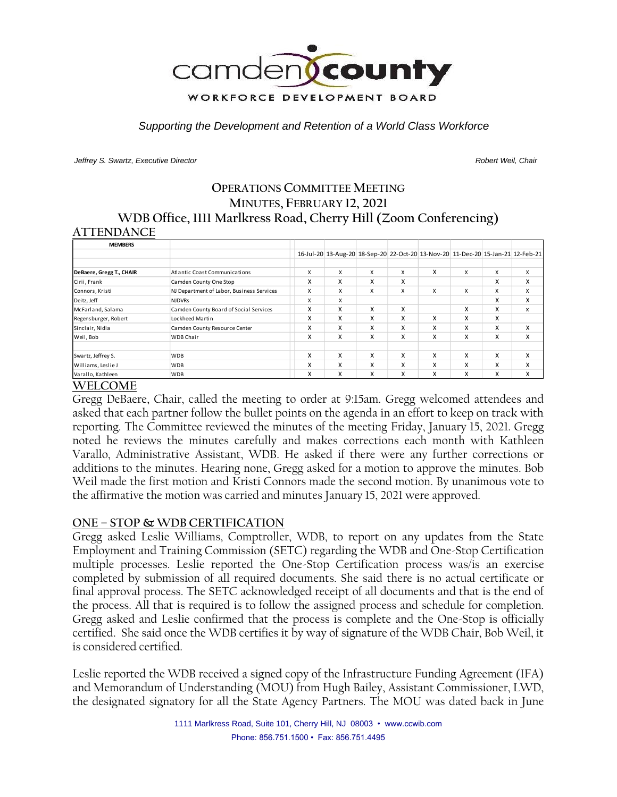

*Supporting the Development and Retention of a World Class Workforce*

*Jeffrey S. Swartz, Executive Director Robert Weil, Chair* 

# **OPERATIONS COMMITTEE MEETING MINUTES, FEBRUARY 12, 2021 WDB Office, 1111 Marlkress Road, Cherry Hill (Zoom Conferencing)**

### **ATTENDANCE**

| <b>MEMBERS</b>           |                                           |   |   |   |   |                                                                                 |   |   |   |
|--------------------------|-------------------------------------------|---|---|---|---|---------------------------------------------------------------------------------|---|---|---|
|                          |                                           |   |   |   |   | 16-Jul-20 13-Aug-20 18-Sep-20 22-Oct-20 13-Nov-20 11-Dec-20 15-Jan-21 12-Feb-21 |   |   |   |
|                          |                                           |   |   |   |   |                                                                                 |   |   |   |
| DeBaere, Gregg T., CHAIR | <b>Atlantic Coast Communications</b>      | X | X | x | X | X                                                                               | X | X | X |
| Cirii, Frank             | Camden County One Stop                    | X | X | X | x |                                                                                 |   | X | X |
| Connors, Kristi          | NJ Department of Labor, Business Services | X | X | x | x | X                                                                               | X | X | X |
| Deitz, Jeff              | <b>NJDVRs</b>                             | X | X |   |   |                                                                                 |   | X | x |
| McFarland, Salama        | Camden County Board of Social Services    | X | X | X | X |                                                                                 | X | X | x |
| Regensburger, Robert     | Lockheed Martin                           | X | x | x | x | x                                                                               | x | X |   |
| Sinclair, Nidia          | Camden County Resource Center             | X | X | X | x | X                                                                               | x | X | X |
| Weil, Bob                | <b>WDB Chair</b>                          | X | X | X | x | X                                                                               | x | X | X |
|                          |                                           |   |   |   |   |                                                                                 |   |   |   |
| Swartz, Jeffrey S.       | <b>WDB</b>                                | X | X | X | X | X                                                                               | X | X | x |
| Williams, Leslie J       | <b>WDB</b>                                | X | X | X | x | X                                                                               | x | X | x |
| Varallo, Kathleen        | <b>WDB</b>                                | X | X | X | x | X                                                                               | x | X | X |

# **WELCOME**

Gregg DeBaere, Chair, called the meeting to order at 9:15am. Gregg welcomed attendees and asked that each partner follow the bullet points on the agenda in an effort to keep on track with reporting. The Committee reviewed the minutes of the meeting Friday, January 15, 2021. Gregg noted he reviews the minutes carefully and makes corrections each month with Kathleen Varallo, Administrative Assistant, WDB. He asked if there were any further corrections or additions to the minutes. Hearing none, Gregg asked for a motion to approve the minutes. Bob Weil made the first motion and Kristi Connors made the second motion. By unanimous vote to the affirmative the motion was carried and minutes January 15, 2021 were approved.

# **ONE – STOP & WDB CERTIFICATION**

Gregg asked Leslie Williams, Comptroller, WDB, to report on any updates from the State Employment and Training Commission (SETC) regarding the WDB and One-Stop Certification multiple processes. Leslie reported the One-Stop Certification process was/is an exercise completed by submission of all required documents. She said there is no actual certificate or final approval process. The SETC acknowledged receipt of all documents and that is the end of the process. All that is required is to follow the assigned process and schedule for completion. Gregg asked and Leslie confirmed that the process is complete and the One-Stop is officially certified. She said once the WDB certifies it by way of signature of the WDB Chair, Bob Weil, it is considered certified.

Leslie reported the WDB received a signed copy of the Infrastructure Funding Agreement (IFA) and Memorandum of Understanding (MOU) from Hugh Bailey, Assistant Commissioner, LWD, the designated signatory for all the State Agency Partners. The MOU was dated back in June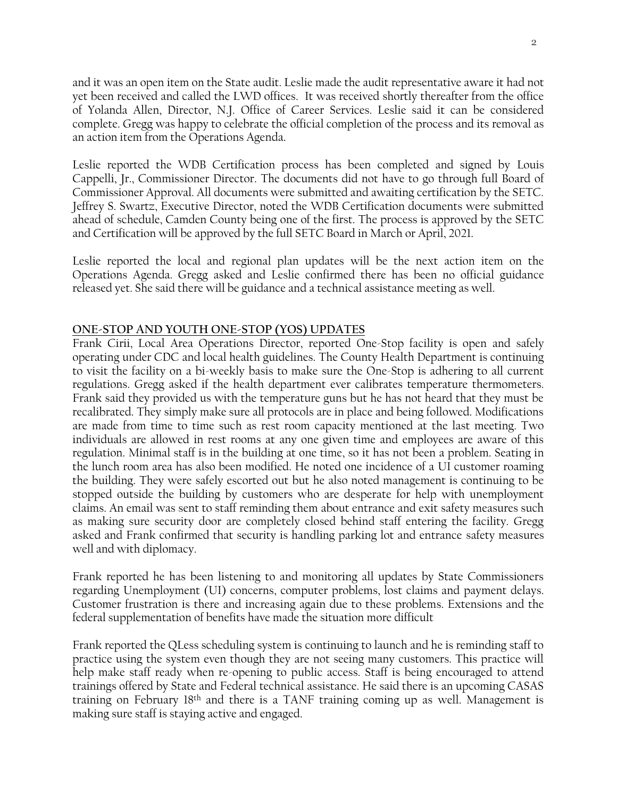and it was an open item on the State audit. Leslie made the audit representative aware it had not yet been received and called the LWD offices. It was received shortly thereafter from the office of Yolanda Allen, Director, N.J. Office of Career Services. Leslie said it can be considered complete. Gregg was happy to celebrate the official completion of the process and its removal as an action item from the Operations Agenda.

Leslie reported the WDB Certification process has been completed and signed by Louis Cappelli, Jr., Commissioner Director. The documents did not have to go through full Board of Commissioner Approval. All documents were submitted and awaiting certification by the SETC. Jeffrey S. Swartz, Executive Director, noted the WDB Certification documents were submitted ahead of schedule, Camden County being one of the first. The process is approved by the SETC and Certification will be approved by the full SETC Board in March or April, 2021.

Leslie reported the local and regional plan updates will be the next action item on the Operations Agenda. Gregg asked and Leslie confirmed there has been no official guidance released yet. She said there will be guidance and a technical assistance meeting as well.

# **ONE-STOP AND YOUTH ONE-STOP (YOS) UPDATES**

Frank Cirii, Local Area Operations Director, reported One-Stop facility is open and safely operating under CDC and local health guidelines. The County Health Department is continuing to visit the facility on a bi-weekly basis to make sure the One-Stop is adhering to all current regulations. Gregg asked if the health department ever calibrates temperature thermometers. Frank said they provided us with the temperature guns but he has not heard that they must be recalibrated. They simply make sure all protocols are in place and being followed. Modifications are made from time to time such as rest room capacity mentioned at the last meeting. Two individuals are allowed in rest rooms at any one given time and employees are aware of this regulation. Minimal staff is in the building at one time, so it has not been a problem. Seating in the lunch room area has also been modified. He noted one incidence of a UI customer roaming the building. They were safely escorted out but he also noted management is continuing to be stopped outside the building by customers who are desperate for help with unemployment claims. An email was sent to staff reminding them about entrance and exit safety measures such as making sure security door are completely closed behind staff entering the facility. Gregg asked and Frank confirmed that security is handling parking lot and entrance safety measures well and with diplomacy.

Frank reported he has been listening to and monitoring all updates by State Commissioners regarding Unemployment (UI) concerns, computer problems, lost claims and payment delays. Customer frustration is there and increasing again due to these problems. Extensions and the federal supplementation of benefits have made the situation more difficult

Frank reported the QLess scheduling system is continuing to launch and he is reminding staff to practice using the system even though they are not seeing many customers. This practice will help make staff ready when re-opening to public access. Staff is being encouraged to attend trainings offered by State and Federal technical assistance. He said there is an upcoming CASAS training on February 18th and there is a TANF training coming up as well. Management is making sure staff is staying active and engaged.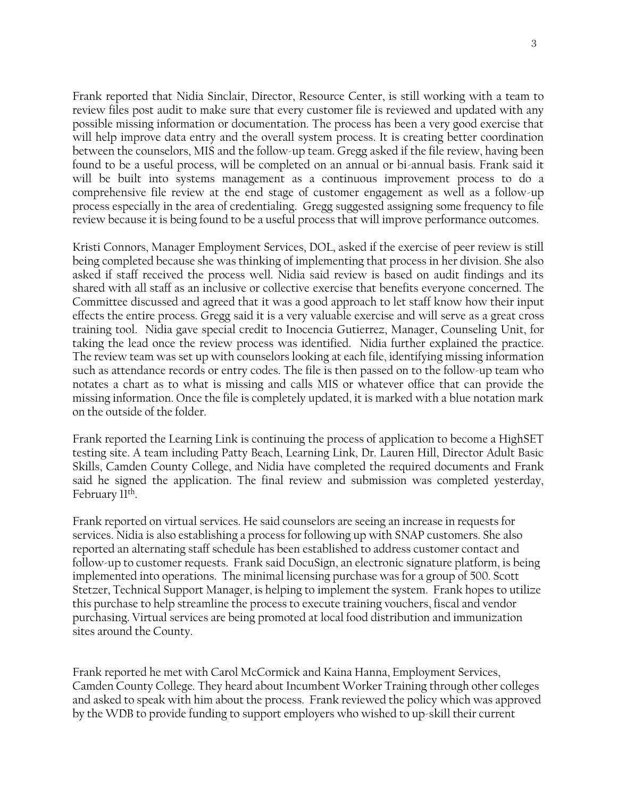Frank reported that Nidia Sinclair, Director, Resource Center, is still working with a team to review files post audit to make sure that every customer file is reviewed and updated with any possible missing information or documentation. The process has been a very good exercise that will help improve data entry and the overall system process. It is creating better coordination between the counselors, MIS and the follow-up team. Gregg asked if the file review, having been found to be a useful process, will be completed on an annual or bi-annual basis. Frank said it will be built into systems management as a continuous improvement process to do a comprehensive file review at the end stage of customer engagement as well as a follow-up process especially in the area of credentialing. Gregg suggested assigning some frequency to file review because it is being found to be a useful process that will improve performance outcomes.

Kristi Connors, Manager Employment Services, DOL, asked if the exercise of peer review is still being completed because she was thinking of implementing that process in her division. She also asked if staff received the process well. Nidia said review is based on audit findings and its shared with all staff as an inclusive or collective exercise that benefits everyone concerned. The Committee discussed and agreed that it was a good approach to let staff know how their input effects the entire process. Gregg said it is a very valuable exercise and will serve as a great cross training tool. Nidia gave special credit to Inocencia Gutierrez, Manager, Counseling Unit, for taking the lead once the review process was identified. Nidia further explained the practice. The review team was set up with counselors looking at each file, identifying missing information such as attendance records or entry codes. The file is then passed on to the follow-up team who notates a chart as to what is missing and calls MIS or whatever office that can provide the missing information. Once the file is completely updated, it is marked with a blue notation mark on the outside of the folder.

Frank reported the Learning Link is continuing the process of application to become a HighSET testing site. A team including Patty Beach, Learning Link, Dr. Lauren Hill, Director Adult Basic Skills, Camden County College, and Nidia have completed the required documents and Frank said he signed the application. The final review and submission was completed yesterday, February 11<sup>th</sup>.

Frank reported on virtual services. He said counselors are seeing an increase in requests for services. Nidia is also establishing a process for following up with SNAP customers. She also reported an alternating staff schedule has been established to address customer contact and follow-up to customer requests. Frank said DocuSign, an electronic signature platform, is being implemented into operations. The minimal licensing purchase was for a group of 500. Scott Stetzer, Technical Support Manager, is helping to implement the system. Frank hopes to utilize this purchase to help streamline the process to execute training vouchers, fiscal and vendor purchasing. Virtual services are being promoted at local food distribution and immunization sites around the County.

Frank reported he met with Carol McCormick and Kaina Hanna, Employment Services, Camden County College. They heard about Incumbent Worker Training through other colleges and asked to speak with him about the process. Frank reviewed the policy which was approved by the WDB to provide funding to support employers who wished to up-skill their current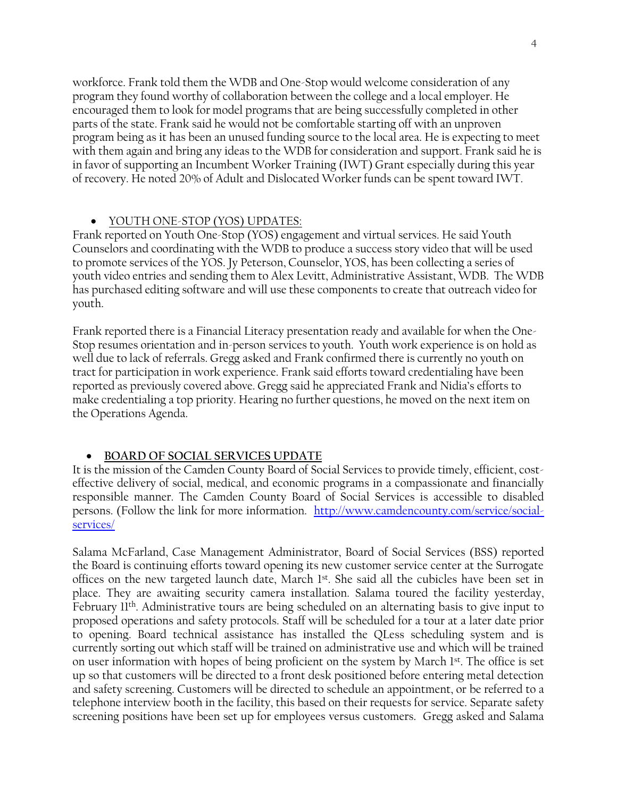workforce. Frank told them the WDB and One-Stop would welcome consideration of any program they found worthy of collaboration between the college and a local employer. He encouraged them to look for model programs that are being successfully completed in other parts of the state. Frank said he would not be comfortable starting off with an unproven program being as it has been an unused funding source to the local area. He is expecting to meet with them again and bring any ideas to the WDB for consideration and support. Frank said he is in favor of supporting an Incumbent Worker Training (IWT) Grant especially during this year of recovery. He noted 20% of Adult and Dislocated Worker funds can be spent toward IWT.

#### • YOUTH ONE-STOP (YOS) UPDATES:

Frank reported on Youth One-Stop (YOS) engagement and virtual services. He said Youth Counselors and coordinating with the WDB to produce a success story video that will be used to promote services of the YOS. Jy Peterson, Counselor, YOS, has been collecting a series of youth video entries and sending them to Alex Levitt, Administrative Assistant, WDB. The WDB has purchased editing software and will use these components to create that outreach video for youth.

Frank reported there is a Financial Literacy presentation ready and available for when the One-Stop resumes orientation and in-person services to youth. Youth work experience is on hold as well due to lack of referrals. Gregg asked and Frank confirmed there is currently no youth on tract for participation in work experience. Frank said efforts toward credentialing have been reported as previously covered above. Gregg said he appreciated Frank and Nidia's efforts to make credentialing a top priority. Hearing no further questions, he moved on the next item on the Operations Agenda.

#### • **BOARD OF SOCIAL SERVICES UPDATE**

It is the mission of the Camden County Board of Social Services to provide timely, efficient, costeffective delivery of social, medical, and economic programs in a compassionate and financially responsible manner. The Camden County Board of Social Services is accessible to disabled persons. (Follow the link for more information. [http://www.camdencounty.com/service/social](http://www.camdencounty.com/service/social-services/)[services/](http://www.camdencounty.com/service/social-services/)

Salama McFarland, Case Management Administrator, Board of Social Services (BSS) reported the Board is continuing efforts toward opening its new customer service center at the Surrogate offices on the new targeted launch date, March 1<sup>st</sup>. She said all the cubicles have been set in place. They are awaiting security camera installation. Salama toured the facility yesterday, February 11th. Administrative tours are being scheduled on an alternating basis to give input to proposed operations and safety protocols. Staff will be scheduled for a tour at a later date prior to opening. Board technical assistance has installed the QLess scheduling system and is currently sorting out which staff will be trained on administrative use and which will be trained on user information with hopes of being proficient on the system by March 1<sup>st</sup>. The office is set up so that customers will be directed to a front desk positioned before entering metal detection and safety screening. Customers will be directed to schedule an appointment, or be referred to a telephone interview booth in the facility, this based on their requests for service. Separate safety screening positions have been set up for employees versus customers. Gregg asked and Salama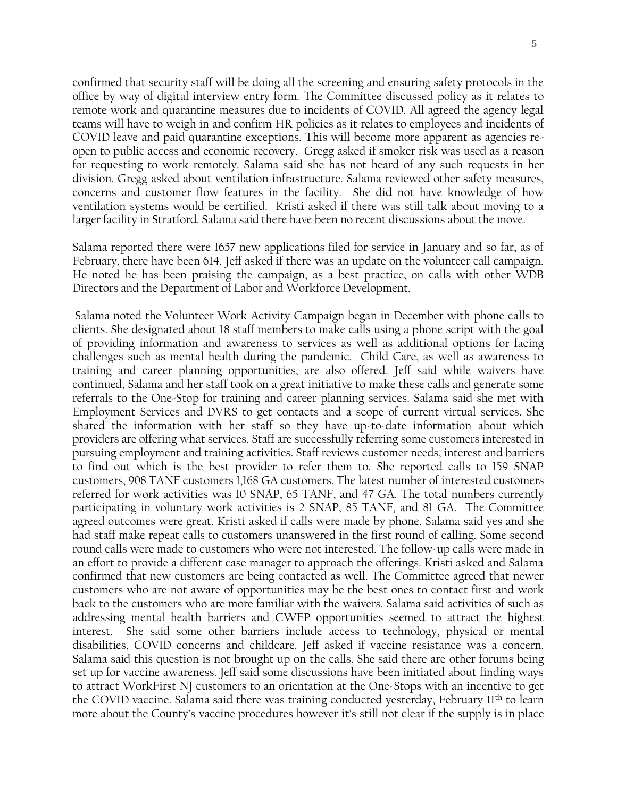confirmed that security staff will be doing all the screening and ensuring safety protocols in the office by way of digital interview entry form. The Committee discussed policy as it relates to remote work and quarantine measures due to incidents of COVID. All agreed the agency legal teams will have to weigh in and confirm HR policies as it relates to employees and incidents of COVID leave and paid quarantine exceptions. This will become more apparent as agencies reopen to public access and economic recovery. Gregg asked if smoker risk was used as a reason for requesting to work remotely. Salama said she has not heard of any such requests in her division. Gregg asked about ventilation infrastructure. Salama reviewed other safety measures, concerns and customer flow features in the facility. She did not have knowledge of how ventilation systems would be certified. Kristi asked if there was still talk about moving to a larger facility in Stratford. Salama said there have been no recent discussions about the move.

Salama reported there were 1657 new applications filed for service in January and so far, as of February, there have been 614. Jeff asked if there was an update on the volunteer call campaign. He noted he has been praising the campaign, as a best practice, on calls with other WDB Directors and the Department of Labor and Workforce Development.

Salama noted the Volunteer Work Activity Campaign began in December with phone calls to clients. She designated about 18 staff members to make calls using a phone script with the goal of providing information and awareness to services as well as additional options for facing challenges such as mental health during the pandemic. Child Care, as well as awareness to training and career planning opportunities, are also offered. Jeff said while waivers have continued, Salama and her staff took on a great initiative to make these calls and generate some referrals to the One-Stop for training and career planning services. Salama said she met with Employment Services and DVRS to get contacts and a scope of current virtual services. She shared the information with her staff so they have up-to-date information about which providers are offering what services. Staff are successfully referring some customers interested in pursuing employment and training activities. Staff reviews customer needs, interest and barriers to find out which is the best provider to refer them to. She reported calls to 159 SNAP customers, 908 TANF customers 1,168 GA customers. The latest number of interested customers referred for work activities was 10 SNAP, 65 TANF, and 47 GA. The total numbers currently participating in voluntary work activities is 2 SNAP, 85 TANF, and 81 GA. The Committee agreed outcomes were great. Kristi asked if calls were made by phone. Salama said yes and she had staff make repeat calls to customers unanswered in the first round of calling. Some second round calls were made to customers who were not interested. The follow-up calls were made in an effort to provide a different case manager to approach the offerings. Kristi asked and Salama confirmed that new customers are being contacted as well. The Committee agreed that newer customers who are not aware of opportunities may be the best ones to contact first and work back to the customers who are more familiar with the waivers. Salama said activities of such as addressing mental health barriers and CWEP opportunities seemed to attract the highest interest. She said some other barriers include access to technology, physical or mental disabilities, COVID concerns and childcare. Jeff asked if vaccine resistance was a concern. Salama said this question is not brought up on the calls. She said there are other forums being set up for vaccine awareness. Jeff said some discussions have been initiated about finding ways to attract WorkFirst NJ customers to an orientation at the One-Stops with an incentive to get the COVID vaccine. Salama said there was training conducted yesterday, February 11th to learn more about the County's vaccine procedures however it's still not clear if the supply is in place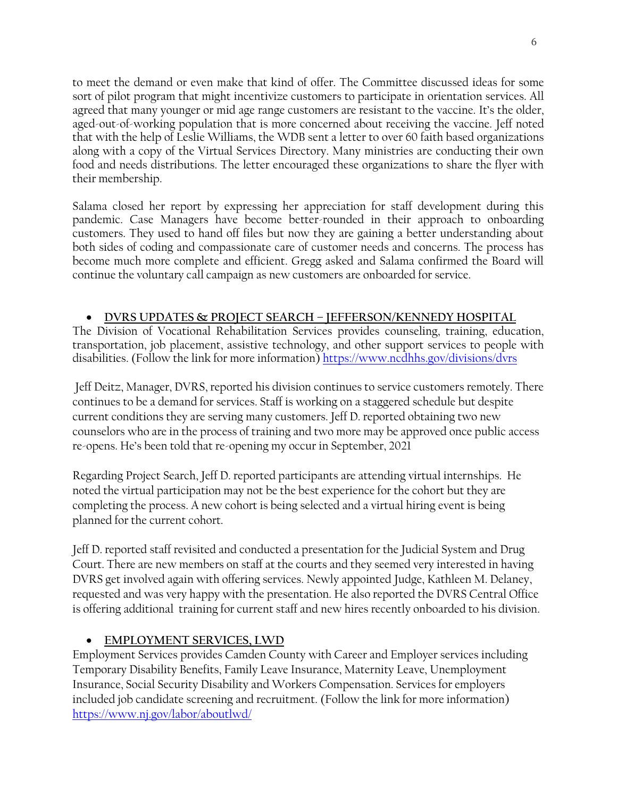to meet the demand or even make that kind of offer. The Committee discussed ideas for some sort of pilot program that might incentivize customers to participate in orientation services. All agreed that many younger or mid age range customers are resistant to the vaccine. It's the older, aged-out-of-working population that is more concerned about receiving the vaccine. Jeff noted that with the help of Leslie Williams, the WDB sent a letter to over 60 faith based organizations along with a copy of the Virtual Services Directory. Many ministries are conducting their own food and needs distributions. The letter encouraged these organizations to share the flyer with their membership.

Salama closed her report by expressing her appreciation for staff development during this pandemic. Case Managers have become better-rounded in their approach to onboarding customers. They used to hand off files but now they are gaining a better understanding about both sides of coding and compassionate care of customer needs and concerns. The process has become much more complete and efficient. Gregg asked and Salama confirmed the Board will continue the voluntary call campaign as new customers are onboarded for service.

# • **DVRS UPDATES & PROJECT SEARCH – JEFFERSON/KENNEDY HOSPITAL**

The Division of Vocational Rehabilitation Services provides counseling, training, education, transportation, job placement, assistive technology, and other support services to people with disabilities. (Follow the link for more information) <https://www.ncdhhs.gov/divisions/dvrs>

Jeff Deitz, Manager, DVRS, reported his division continues to service customers remotely. There continues to be a demand for services. Staff is working on a staggered schedule but despite current conditions they are serving many customers. Jeff D. reported obtaining two new counselors who are in the process of training and two more may be approved once public access re-opens. He's been told that re-opening my occur in September, 2021

Regarding Project Search, Jeff D. reported participants are attending virtual internships. He noted the virtual participation may not be the best experience for the cohort but they are completing the process. A new cohort is being selected and a virtual hiring event is being planned for the current cohort.

Jeff D. reported staff revisited and conducted a presentation for the Judicial System and Drug Court. There are new members on staff at the courts and they seemed very interested in having DVRS get involved again with offering services. Newly appointed Judge, Kathleen M. Delaney, requested and was very happy with the presentation. He also reported the DVRS Central Office is offering additional training for current staff and new hires recently onboarded to his division.

# • **EMPLOYMENT SERVICES, LWD**

Employment Services provides Camden County with Career and Employer services including Temporary Disability Benefits, Family Leave Insurance, Maternity Leave, Unemployment Insurance, Social Security Disability and Workers Compensation. Services for employers included job candidate screening and recruitment. (Follow the link for more information) <https://www.nj.gov/labor/aboutlwd/>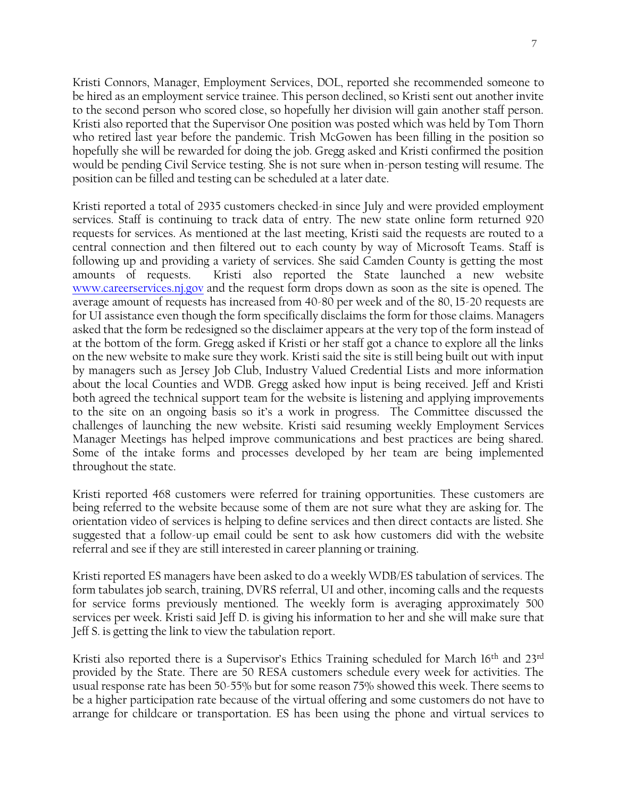Kristi Connors, Manager, Employment Services, DOL, reported she recommended someone to be hired as an employment service trainee. This person declined, so Kristi sent out another invite to the second person who scored close, so hopefully her division will gain another staff person. Kristi also reported that the Supervisor One position was posted which was held by Tom Thorn who retired last year before the pandemic. Trish McGowen has been filling in the position so hopefully she will be rewarded for doing the job. Gregg asked and Kristi confirmed the position would be pending Civil Service testing. She is not sure when in-person testing will resume. The position can be filled and testing can be scheduled at a later date.

Kristi reported a total of 2935 customers checked-in since July and were provided employment services. Staff is continuing to track data of entry. The new state online form returned 920 requests for services. As mentioned at the last meeting, Kristi said the requests are routed to a central connection and then filtered out to each county by way of Microsoft Teams. Staff is following up and providing a variety of services. She said Camden County is getting the most amounts of requests. Kristi also reported the State launched a new website [www.careerservices.nj.gov](http://www.careerservices.nj.gov/) and the request form drops down as soon as the site is opened. The average amount of requests has increased from 40-80 per week and of the 80, 15-20 requests are for UI assistance even though the form specifically disclaims the form for those claims. Managers asked that the form be redesigned so the disclaimer appears at the very top of the form instead of at the bottom of the form. Gregg asked if Kristi or her staff got a chance to explore all the links on the new website to make sure they work. Kristi said the site is still being built out with input by managers such as Jersey Job Club, Industry Valued Credential Lists and more information about the local Counties and WDB. Gregg asked how input is being received. Jeff and Kristi both agreed the technical support team for the website is listening and applying improvements to the site on an ongoing basis so it's a work in progress. The Committee discussed the challenges of launching the new website. Kristi said resuming weekly Employment Services Manager Meetings has helped improve communications and best practices are being shared. Some of the intake forms and processes developed by her team are being implemented throughout the state.

Kristi reported 468 customers were referred for training opportunities. These customers are being referred to the website because some of them are not sure what they are asking for. The orientation video of services is helping to define services and then direct contacts are listed. She suggested that a follow-up email could be sent to ask how customers did with the website referral and see if they are still interested in career planning or training.

Kristi reported ES managers have been asked to do a weekly WDB/ES tabulation of services. The form tabulates job search, training, DVRS referral, UI and other, incoming calls and the requests for service forms previously mentioned. The weekly form is averaging approximately 500 services per week. Kristi said Jeff D. is giving his information to her and she will make sure that Jeff S. is getting the link to view the tabulation report.

Kristi also reported there is a Supervisor's Ethics Training scheduled for March 16<sup>th</sup> and 23<sup>rd</sup> provided by the State. There are 50 RESA customers schedule every week for activities. The usual response rate has been 50-55% but for some reason 75% showed this week. There seems to be a higher participation rate because of the virtual offering and some customers do not have to arrange for childcare or transportation. ES has been using the phone and virtual services to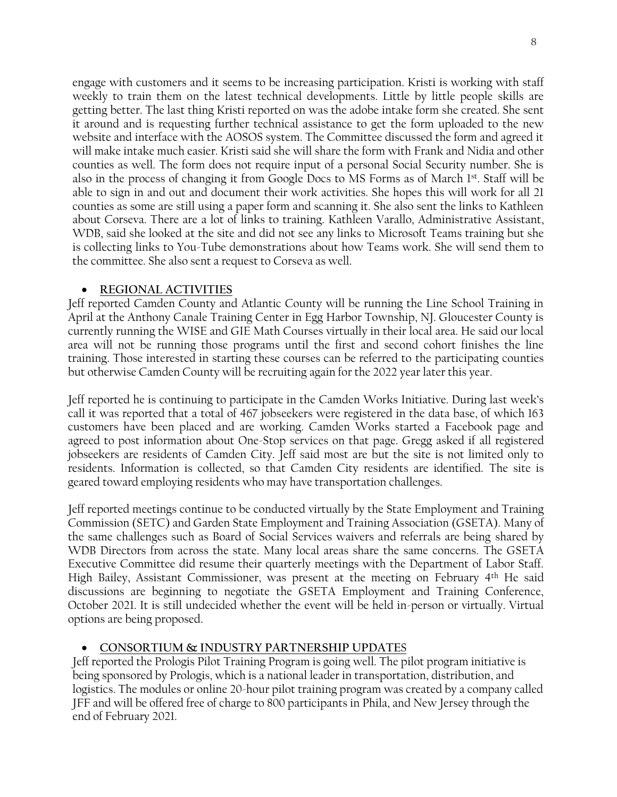engage with customers and it seems to be increasing participation. Kristi is working with staff weekly to train them on the latest technical developments. Little by little people skills are getting better. The last thing Kristi reported on was the adobe intake form she created. She sent it around and is requesting further technical assistance to get the form uploaded to the new website and interface with the AOSOS system. The Committee discussed the form and agreed it will make intake much easier. Kristi said she will share the form with Frank and Nidia and other counties as well. The form does not require input of a personal Social Security number. She is also in the process of changing it from Google Docs to MS Forms as of March 1st. Staff will be able to sign in and out and document their work activities. She hopes this will work for all 21 counties as some are still using a paper form and scanning it. She also sent the links to Kathleen about Corseva. There are a lot of links to training. Kathleen Varallo, Administrative Assistant, WDB, said she looked at the site and did not see any links to Microsoft Teams training but she is collecting links to You-Tube demonstrations about how Teams work. She will send them to the committee. She also sent a request to Corseva as well.

### • **REGIONAL ACTIVITIES**

Jeff reported Camden County and Atlantic County will be running the Line School Training in April at the Anthony Canale Training Center in Egg Harbor Township, NJ. Gloucester County is currently running the WISE and GIE Math Courses virtually in their local area. He said our local area will not be running those programs until the first and second cohort finishes the line training. Those interested in starting these courses can be referred to the participating counties but otherwise Camden County will be recruiting again for the 2022 year later this year.

Jeff reported he is continuing to participate in the Camden Works Initiative. During last week's call it was reported that a total of 467 jobseekers were registered in the data base, of which 163 customers have been placed and are working. Camden Works started a Facebook page and agreed to post information about One-Stop services on that page. Gregg asked if all registered jobseekers are residents of Camden City. Jeff said most are but the site is not limited only to residents. Information is collected, so that Camden City residents are identified. The site is geared toward employing residents who may have transportation challenges.

Jeff reported meetings continue to be conducted virtually by the State Employment and Training Commission (SETC) and Garden State Employment and Training Association (GSETA). Many of the same challenges such as Board of Social Services waivers and referrals are being shared by WDB Directors from across the state. Many local areas share the same concerns. The GSETA Executive Committee did resume their quarterly meetings with the Department of Labor Staff. High Bailey, Assistant Commissioner, was present at the meeting on February 4th He said discussions are beginning to negotiate the GSETA Employment and Training Conference, October 2021. It is still undecided whether the event will be held in-person or virtually. Virtual options are being proposed.

# • **CONSORTIUM & INDUSTRY PARTNERSHIP UPDATE**S

Jeff reported the Prologis Pilot Training Program is going well. The pilot program initiative is being sponsored by Prologis, which is a national leader in transportation, distribution, and logistics. The modules or online 20-hour pilot training program was created by a company called JFF and will be offered free of charge to 800 participants in Phila, and New Jersey through the end of February 2021.